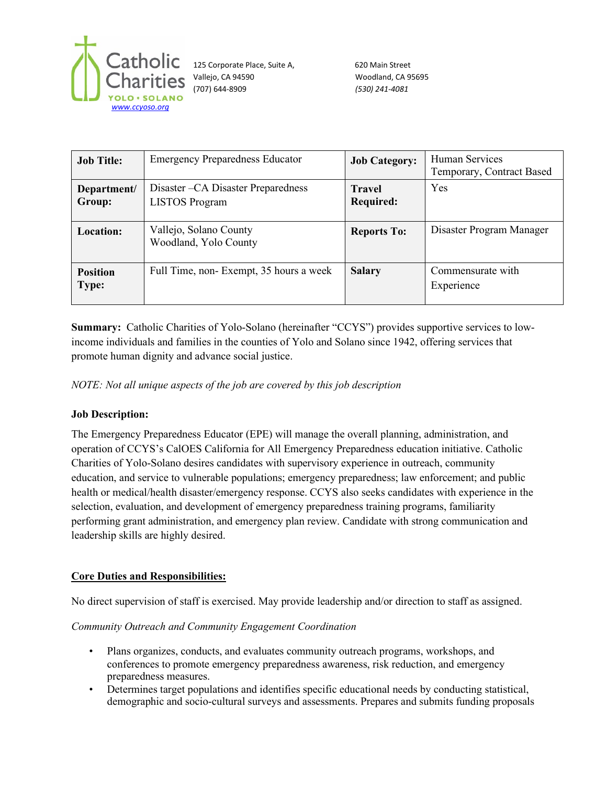

125 Corporate Place, Suite A, 620 Main Street Vallejo, CA 94590 Woodland, CA 95695 (707) 644-8909 *(530) 241-4081*

| <b>Job Title:</b>               | <b>Emergency Preparedness Educator</b>                       | <b>Job Category:</b>              | Human Services<br>Temporary, Contract Based |
|---------------------------------|--------------------------------------------------------------|-----------------------------------|---------------------------------------------|
| Department/<br>Group:           | Disaster – CA Disaster Preparedness<br><b>LISTOS</b> Program | <b>Travel</b><br><b>Required:</b> | Yes                                         |
| Location:                       | Vallejo, Solano County<br>Woodland, Yolo County              | <b>Reports To:</b>                | Disaster Program Manager                    |
| <b>Position</b><br><b>Type:</b> | Full Time, non-Exempt, 35 hours a week                       | <b>Salary</b>                     | Commensurate with<br>Experience             |

**Summary:** Catholic Charities of Yolo-Solano (hereinafter "CCYS") provides supportive services to lowincome individuals and families in the counties of Yolo and Solano since 1942, offering services that promote human dignity and advance social justice.

*NOTE: Not all unique aspects of the job are covered by this job description*

### **Job Description:**

The Emergency Preparedness Educator (EPE) will manage the overall planning, administration, and operation of CCYS's CalOES California for All Emergency Preparedness education initiative. Catholic Charities of Yolo-Solano desires candidates with supervisory experience in outreach, community education, and service to vulnerable populations; emergency preparedness; law enforcement; and public health or medical/health disaster/emergency response. CCYS also seeks candidates with experience in the selection, evaluation, and development of emergency preparedness training programs, familiarity performing grant administration, and emergency plan review. Candidate with strong communication and leadership skills are highly desired.

# **Core Duties and Responsibilities:**

No direct supervision of staff is exercised. May provide leadership and/or direction to staff as assigned.

### *Community Outreach and Community Engagement Coordination*

- Plans organizes, conducts, and evaluates community outreach programs, workshops, and conferences to promote emergency preparedness awareness, risk reduction, and emergency preparedness measures.
- Determines target populations and identifies specific educational needs by conducting statistical, demographic and socio-cultural surveys and assessments. Prepares and submits funding proposals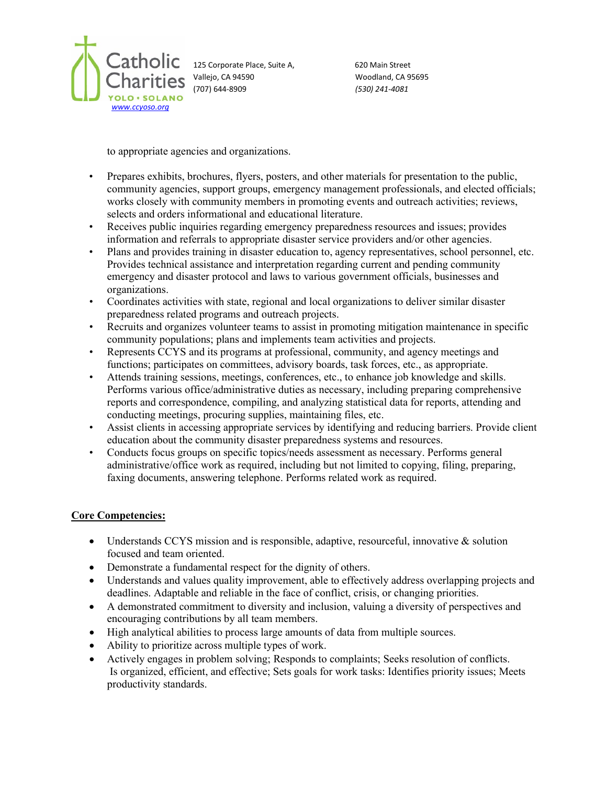

125 Corporate Place, Suite A, 620 Main Street Vallejo, CA 94590 Woodland, CA 95695 (707) 644-8909 *(530) 241-4081*

to appropriate agencies and organizations.

- Prepares exhibits, brochures, flyers, posters, and other materials for presentation to the public, community agencies, support groups, emergency management professionals, and elected officials; works closely with community members in promoting events and outreach activities; reviews, selects and orders informational and educational literature.
- Receives public inquiries regarding emergency preparedness resources and issues; provides information and referrals to appropriate disaster service providers and/or other agencies.
- Plans and provides training in disaster education to, agency representatives, school personnel, etc. Provides technical assistance and interpretation regarding current and pending community emergency and disaster protocol and laws to various government officials, businesses and organizations.
- Coordinates activities with state, regional and local organizations to deliver similar disaster preparedness related programs and outreach projects.
- Recruits and organizes volunteer teams to assist in promoting mitigation maintenance in specific community populations; plans and implements team activities and projects.
- Represents CCYS and its programs at professional, community, and agency meetings and functions; participates on committees, advisory boards, task forces, etc., as appropriate.
- Attends training sessions, meetings, conferences, etc., to enhance job knowledge and skills. Performs various office/administrative duties as necessary, including preparing comprehensive reports and correspondence, compiling, and analyzing statistical data for reports, attending and conducting meetings, procuring supplies, maintaining files, etc.
- Assist clients in accessing appropriate services by identifying and reducing barriers. Provide client education about the community disaster preparedness systems and resources.
- Conducts focus groups on specific topics/needs assessment as necessary. Performs general administrative/office work as required, including but not limited to copying, filing, preparing, faxing documents, answering telephone. Performs related work as required.

### **Core Competencies:**

- Understands CCYS mission and is responsible, adaptive, resourceful, innovative & solution focused and team oriented.
- Demonstrate a fundamental respect for the dignity of others.
- Understands and values quality improvement, able to effectively address overlapping projects and deadlines. Adaptable and reliable in the face of conflict, crisis, or changing priorities.
- A demonstrated commitment to diversity and inclusion, valuing a diversity of perspectives and encouraging contributions by all team members.
- High analytical abilities to process large amounts of data from multiple sources.
- Ability to prioritize across multiple types of work.
- Actively engages in problem solving; Responds to complaints; Seeks resolution of conflicts. Is organized, efficient, and effective; Sets goals for work tasks: Identifies priority issues; Meets productivity standards.